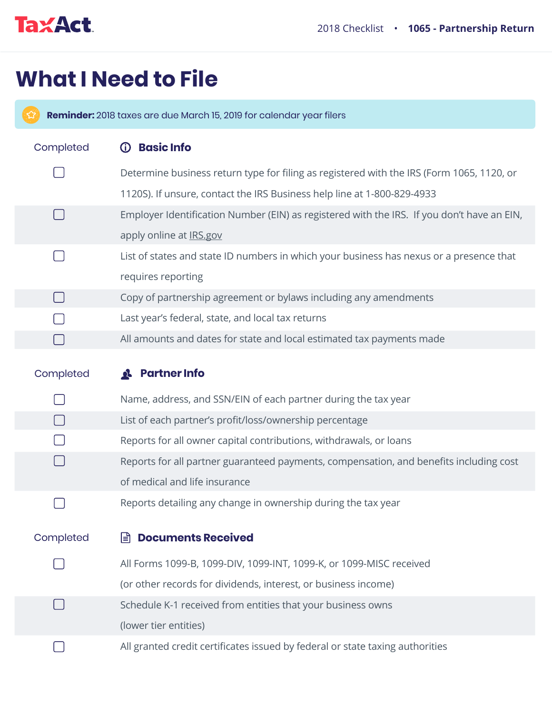

## **What I Need to File**

 $\left( 3\right)$ **Reminder:** 2018 taxes are due March 15, 2019 for calendar year filers

| Completed | <b>Basic Info</b><br><u>රි</u>                                                             |
|-----------|--------------------------------------------------------------------------------------------|
|           | Determine business return type for filing as registered with the IRS (Form 1065, 1120, or  |
|           | 1120S). If unsure, contact the IRS Business help line at 1-800-829-4933                    |
|           | Employer Identification Number (EIN) as registered with the IRS. If you don't have an EIN, |
|           | apply online at IRS.gov                                                                    |
|           | List of states and state ID numbers in which your business has nexus or a presence that    |
|           | requires reporting                                                                         |
|           | Copy of partnership agreement or bylaws including any amendments                           |
|           | Last year's federal, state, and local tax returns                                          |
|           | All amounts and dates for state and local estimated tax payments made                      |
|           | <b>Partner Info</b>                                                                        |
| Completed | Q.                                                                                         |
|           | Name, address, and SSN/EIN of each partner during the tax year                             |
|           | List of each partner's profit/loss/ownership percentage                                    |
|           | Reports for all owner capital contributions, withdrawals, or loans                         |
|           | Reports for all partner guaranteed payments, compensation, and benefits including cost     |
|           | of medical and life insurance                                                              |
|           | Reports detailing any change in ownership during the tax year                              |
|           |                                                                                            |
| Completed | Documents Received                                                                         |
|           | All Forms 1099-B, 1099-DIV, 1099-INT, 1099-K, or 1099-MISC received                        |
|           | (or other records for dividends, interest, or business income)                             |
|           | Schedule K-1 received from entities that your business owns                                |
|           | (lower tier entities)                                                                      |
|           | All granted credit certificates issued by federal or state taxing authorities              |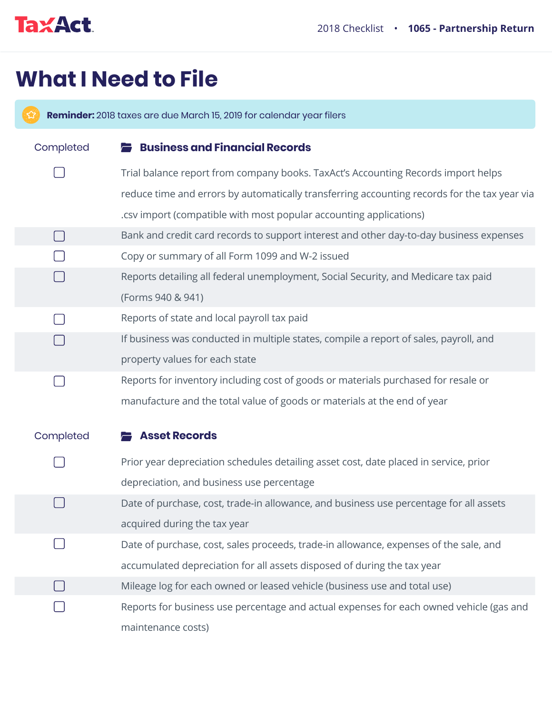

 $\Box$ 

## **What I Need to File**

**Reminder:** 2018 taxes are due March 15, 2019 for calendar year filers

| Completed | <b>Business and Financial Records</b>                                                        |
|-----------|----------------------------------------------------------------------------------------------|
|           | Trial balance report from company books. TaxAct's Accounting Records import helps            |
|           | reduce time and errors by automatically transferring accounting records for the tax year via |
|           | .csv import (compatible with most popular accounting applications)                           |
| $\Box$    | Bank and credit card records to support interest and other day-to-day business expenses      |
|           | Copy or summary of all Form 1099 and W-2 issued                                              |
|           | Reports detailing all federal unemployment, Social Security, and Medicare tax paid           |
|           | (Forms 940 & 941)                                                                            |
|           | Reports of state and local payroll tax paid                                                  |
|           | If business was conducted in multiple states, compile a report of sales, payroll, and        |
|           | property values for each state                                                               |
|           | Reports for inventory including cost of goods or materials purchased for resale or           |
|           | manufacture and the total value of goods or materials at the end of year                     |
|           |                                                                                              |
| Completed | <b>Asset Records</b>                                                                         |
|           | Prior year depreciation schedules detailing asset cost, date placed in service, prior        |
|           | depreciation, and business use percentage                                                    |
|           | Date of purchase, cost, trade-in allowance, and business use percentage for all assets       |
|           | acquired during the tax year                                                                 |
|           | Date of purchase, cost, sales proceeds, trade-in allowance, expenses of the sale, and        |
|           | accumulated depreciation for all assets disposed of during the tax year                      |
|           | Mileage log for each owned or leased vehicle (business use and total use)                    |

Reports for business use percentage and actual expenses for each owned vehicle (gas and maintenance costs)